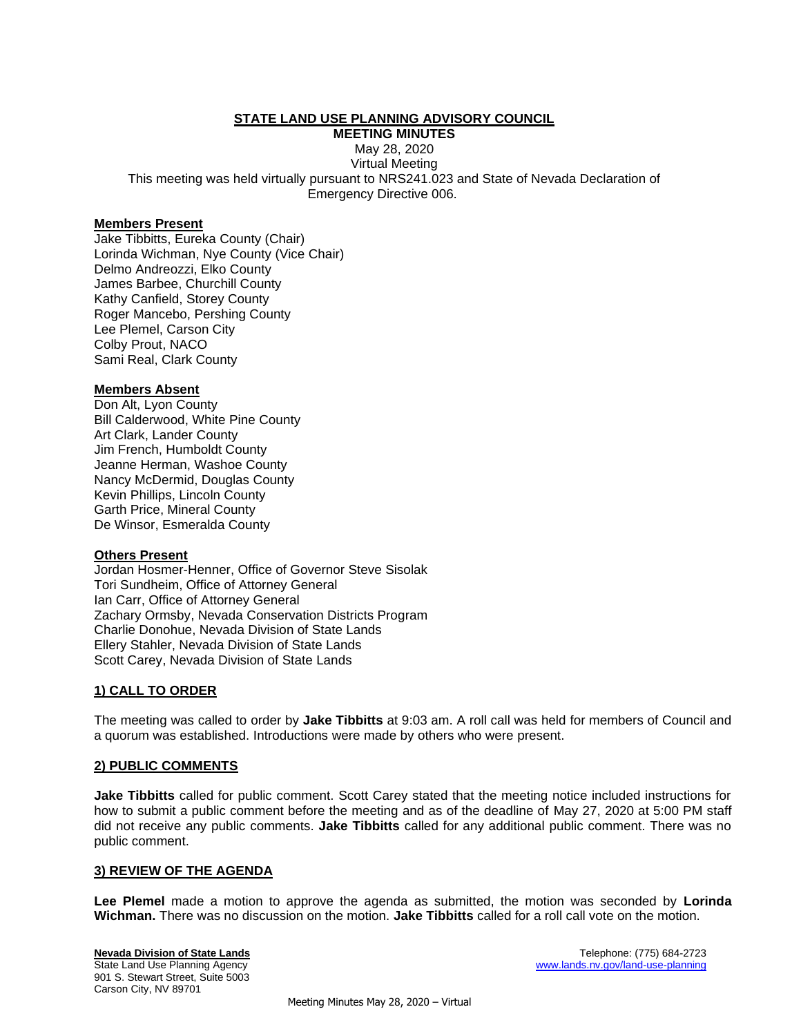# **STATE LAND USE PLANNING ADVISORY COUNCIL**

**MEETING MINUTES** May 28, 2020 Virtual Meeting This meeting was held virtually pursuant to NRS241.023 and State of Nevada Declaration of Emergency Directive 006.

#### **Members Present**

Jake Tibbitts, Eureka County (Chair) Lorinda Wichman, Nye County (Vice Chair) Delmo Andreozzi, Elko County James Barbee, Churchill County Kathy Canfield, Storey County Roger Mancebo, Pershing County Lee Plemel, Carson City Colby Prout, NACO Sami Real, Clark County

#### **Members Absent**

Don Alt, Lyon County Bill Calderwood, White Pine County Art Clark, Lander County Jim French, Humboldt County Jeanne Herman, Washoe County Nancy McDermid, Douglas County Kevin Phillips, Lincoln County Garth Price, Mineral County De Winsor, Esmeralda County

#### **Others Present**

Jordan Hosmer-Henner, Office of Governor Steve Sisolak Tori Sundheim, Office of Attorney General Ian Carr, Office of Attorney General Zachary Ormsby, Nevada Conservation Districts Program Charlie Donohue, Nevada Division of State Lands Ellery Stahler, Nevada Division of State Lands Scott Carey, Nevada Division of State Lands

## **1) CALL TO ORDER**

The meeting was called to order by **Jake Tibbitts** at 9:03 am. A roll call was held for members of Council and a quorum was established. Introductions were made by others who were present.

## **2) PUBLIC COMMENTS**

**Jake Tibbitts** called for public comment. Scott Carey stated that the meeting notice included instructions for how to submit a public comment before the meeting and as of the deadline of May 27, 2020 at 5:00 PM staff did not receive any public comments. **Jake Tibbitts** called for any additional public comment. There was no public comment.

#### **3) REVIEW OF THE AGENDA**

**Lee Plemel** made a motion to approve the agenda as submitted, the motion was seconded by **Lorinda Wichman.** There was no discussion on the motion. **Jake Tibbitts** called for a roll call vote on the motion.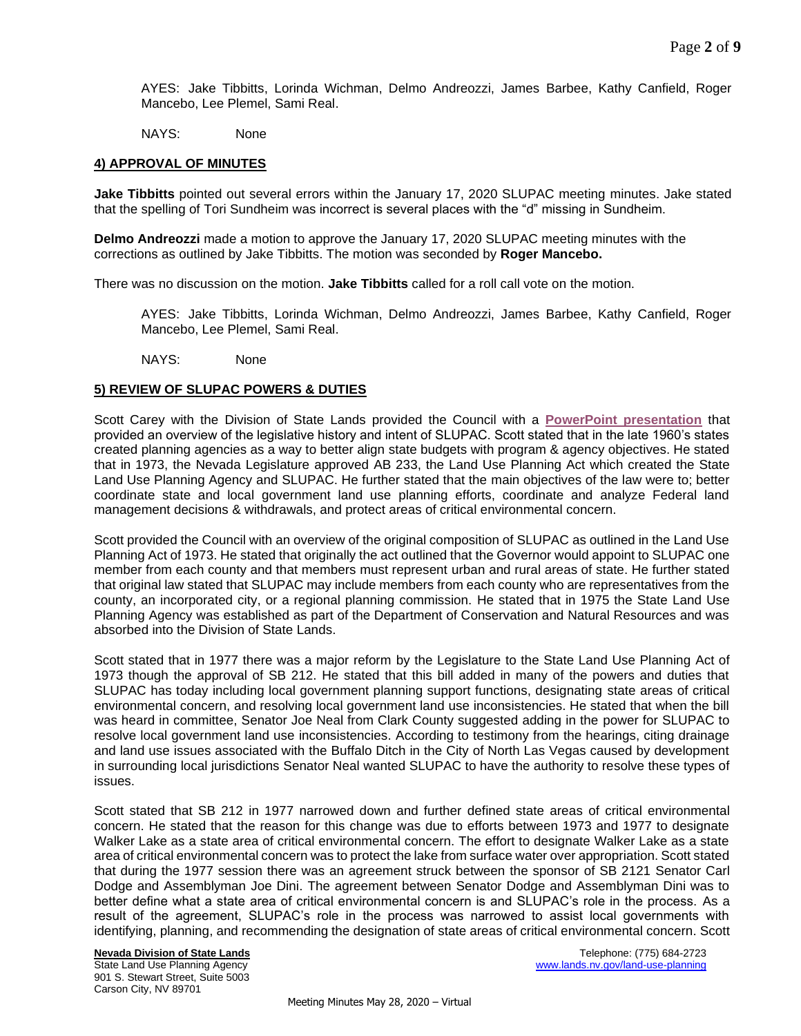AYES: Jake Tibbitts, Lorinda Wichman, Delmo Andreozzi, James Barbee, Kathy Canfield, Roger Mancebo, Lee Plemel, Sami Real.

NAYS: None

## **4) APPROVAL OF MINUTES**

**Jake Tibbitts** pointed out several errors within the January 17, 2020 SLUPAC meeting minutes. Jake stated that the spelling of Tori Sundheim was incorrect is several places with the "d" missing in Sundheim.

**Delmo Andreozzi** made a motion to approve the January 17, 2020 SLUPAC meeting minutes with the corrections as outlined by Jake Tibbitts. The motion was seconded by **Roger Mancebo.** 

There was no discussion on the motion. **Jake Tibbitts** called for a roll call vote on the motion.

AYES: Jake Tibbitts, Lorinda Wichman, Delmo Andreozzi, James Barbee, Kathy Canfield, Roger Mancebo, Lee Plemel, Sami Real.

NAYS: None

#### **5) REVIEW OF SLUPAC POWERS & DUTIES**

Scott Carey with the Division of State Lands provided the Council with a **[PowerPoint presentation](http://lands.nv.gov/uploads/documents/SLUPAC_Legisative_History_and_Intent.pdf)** that provided an overview of the legislative history and intent of SLUPAC. Scott stated that in the late 1960's states created planning agencies as a way to better align state budgets with program & agency objectives. He stated that in 1973, the Nevada Legislature approved AB 233, the Land Use Planning Act which created the State Land Use Planning Agency and SLUPAC. He further stated that the main objectives of the law were to; better coordinate state and local government land use planning efforts, coordinate and analyze Federal land management decisions & withdrawals, and protect areas of critical environmental concern.

Scott provided the Council with an overview of the original composition of SLUPAC as outlined in the Land Use Planning Act of 1973. He stated that originally the act outlined that the Governor would appoint to SLUPAC one member from each county and that members must represent urban and rural areas of state. He further stated that original law stated that SLUPAC may include members from each county who are representatives from the county, an incorporated city, or a regional planning commission. He stated that in 1975 the State Land Use Planning Agency was established as part of the Department of Conservation and Natural Resources and was absorbed into the Division of State Lands.

Scott stated that in 1977 there was a major reform by the Legislature to the State Land Use Planning Act of 1973 though the approval of SB 212. He stated that this bill added in many of the powers and duties that SLUPAC has today including local government planning support functions, designating state areas of critical environmental concern, and resolving local government land use inconsistencies. He stated that when the bill was heard in committee, Senator Joe Neal from Clark County suggested adding in the power for SLUPAC to resolve local government land use inconsistencies. According to testimony from the hearings, citing drainage and land use issues associated with the Buffalo Ditch in the City of North Las Vegas caused by development in surrounding local jurisdictions Senator Neal wanted SLUPAC to have the authority to resolve these types of issues.

Scott stated that SB 212 in 1977 narrowed down and further defined state areas of critical environmental concern. He stated that the reason for this change was due to efforts between 1973 and 1977 to designate Walker Lake as a state area of critical environmental concern. The effort to designate Walker Lake as a state area of critical environmental concern was to protect the lake from surface water over appropriation. Scott stated that during the 1977 session there was an agreement struck between the sponsor of SB 2121 Senator Carl Dodge and Assemblyman Joe Dini. The agreement between Senator Dodge and Assemblyman Dini was to better define what a state area of critical environmental concern is and SLUPAC's role in the process. As a result of the agreement, SLUPAC's role in the process was narrowed to assist local governments with identifying, planning, and recommending the designation of state areas of critical environmental concern. Scott

901 S. Stewart Street, Suite 5003 Carson City, NV 89701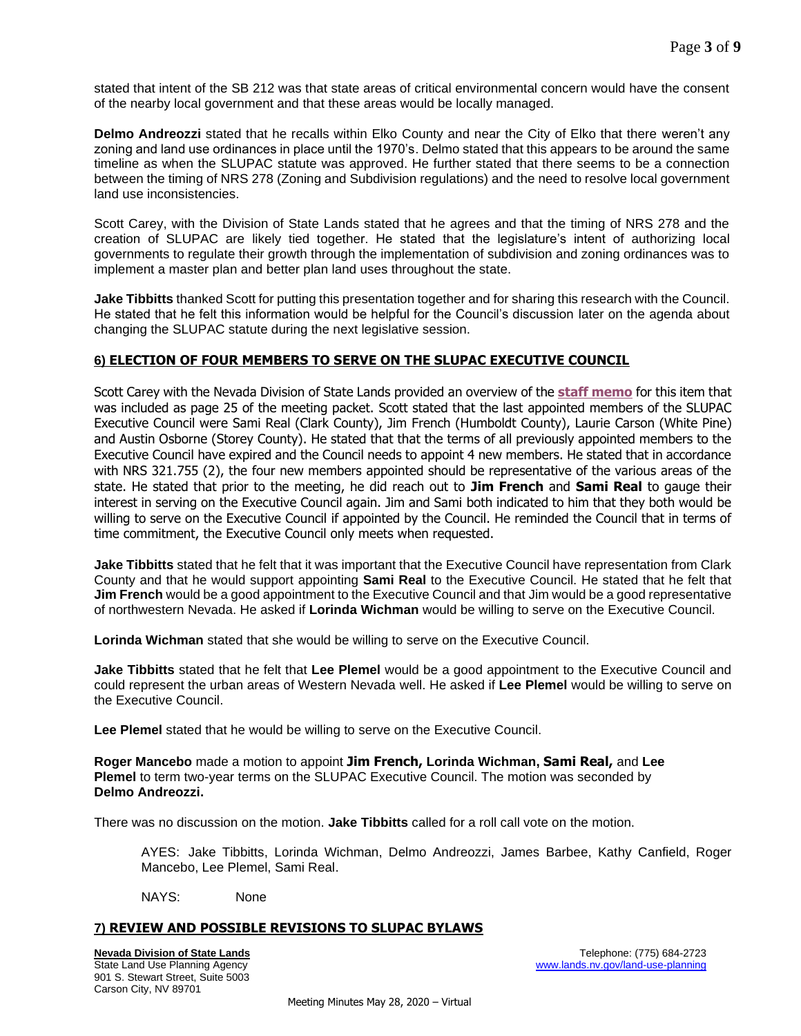stated that intent of the SB 212 was that state areas of critical environmental concern would have the consent of the nearby local government and that these areas would be locally managed.

**Delmo Andreozzi** stated that he recalls within Elko County and near the City of Elko that there weren't any zoning and land use ordinances in place until the 1970's. Delmo stated that this appears to be around the same timeline as when the SLUPAC statute was approved. He further stated that there seems to be a connection between the timing of NRS 278 (Zoning and Subdivision regulations) and the need to resolve local government land use inconsistencies.

Scott Carey, with the Division of State Lands stated that he agrees and that the timing of NRS 278 and the creation of SLUPAC are likely tied together. He stated that the legislature's intent of authorizing local governments to regulate their growth through the implementation of subdivision and zoning ordinances was to implement a master plan and better plan land uses throughout the state.

**Jake Tibbitts** thanked Scott for putting this presentation together and for sharing this research with the Council. He stated that he felt this information would be helpful for the Council's discussion later on the agenda about changing the SLUPAC statute during the next legislative session.

# **6) ELECTION OF FOUR MEMBERS TO SERVE ON THE SLUPAC EXECUTIVE COUNCIL**

Scott Carey with the Nevada Division of State Lands provided an overview of the **[staff memo](http://lands.nv.gov/uploads/documents/Meeting_PacketSm.pdf)** for this item that was included as page 25 of the meeting packet. Scott stated that the last appointed members of the SLUPAC Executive Council were Sami Real (Clark County), Jim French (Humboldt County), Laurie Carson (White Pine) and Austin Osborne (Storey County). He stated that that the terms of all previously appointed members to the Executive Council have expired and the Council needs to appoint 4 new members. He stated that in accordance with NRS 321.755 (2), the four new members appointed should be representative of the various areas of the state. He stated that prior to the meeting, he did reach out to **Jim French** and **Sami Real** to gauge their interest in serving on the Executive Council again. Jim and Sami both indicated to him that they both would be willing to serve on the Executive Council if appointed by the Council. He reminded the Council that in terms of time commitment, the Executive Council only meets when requested.

**Jake Tibbitts** stated that he felt that it was important that the Executive Council have representation from Clark County and that he would support appointing **Sami Real** to the Executive Council. He stated that he felt that **Jim French** would be a good appointment to the Executive Council and that Jim would be a good representative of northwestern Nevada. He asked if **Lorinda Wichman** would be willing to serve on the Executive Council.

**Lorinda Wichman** stated that she would be willing to serve on the Executive Council.

**Jake Tibbitts** stated that he felt that **Lee Plemel** would be a good appointment to the Executive Council and could represent the urban areas of Western Nevada well. He asked if **Lee Plemel** would be willing to serve on the Executive Council.

**Lee Plemel** stated that he would be willing to serve on the Executive Council.

**Roger Mancebo** made a motion to appoint **Jim French, Lorinda Wichman, Sami Real,** and **Lee Plemel** to term two-year terms on the SLUPAC Executive Council. The motion was seconded by **Delmo Andreozzi.** 

There was no discussion on the motion. **Jake Tibbitts** called for a roll call vote on the motion.

AYES: Jake Tibbitts, Lorinda Wichman, Delmo Andreozzi, James Barbee, Kathy Canfield, Roger Mancebo, Lee Plemel, Sami Real.

NAYS: None

## **7) REVIEW AND POSSIBLE REVISIONS TO SLUPAC BYLAWS**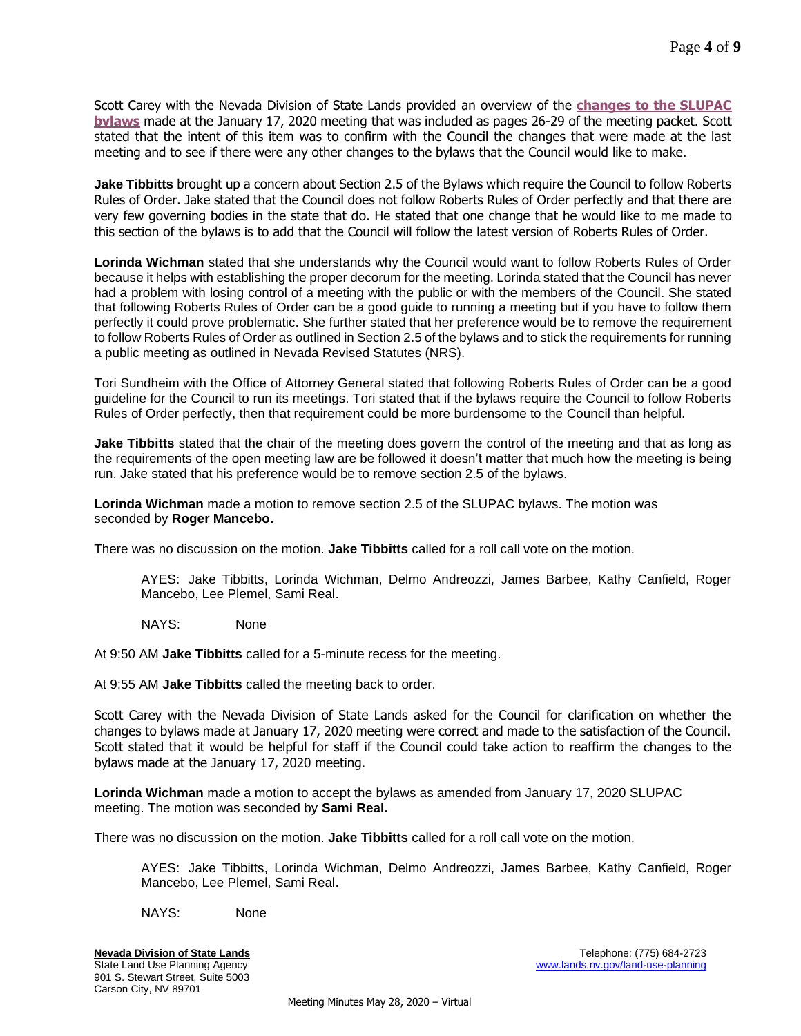Scott Carey with the Nevada Division of State Lands provided an overview of the **[changes to the SLUPAC](http://lands.nv.gov/uploads/documents/Meeting_PacketSm.pdf)  [bylaws](http://lands.nv.gov/uploads/documents/Meeting_PacketSm.pdf)** made at the January 17, 2020 meeting that was included as pages 26-29 of the meeting packet. Scott stated that the intent of this item was to confirm with the Council the changes that were made at the last meeting and to see if there were any other changes to the bylaws that the Council would like to make.

**Jake Tibbitts** brought up a concern about Section 2.5 of the Bylaws which require the Council to follow Roberts Rules of Order. Jake stated that the Council does not follow Roberts Rules of Order perfectly and that there are very few governing bodies in the state that do. He stated that one change that he would like to me made to this section of the bylaws is to add that the Council will follow the latest version of Roberts Rules of Order.

**Lorinda Wichman** stated that she understands why the Council would want to follow Roberts Rules of Order because it helps with establishing the proper decorum for the meeting. Lorinda stated that the Council has never had a problem with losing control of a meeting with the public or with the members of the Council. She stated that following Roberts Rules of Order can be a good guide to running a meeting but if you have to follow them perfectly it could prove problematic. She further stated that her preference would be to remove the requirement to follow Roberts Rules of Order as outlined in Section 2.5 of the bylaws and to stick the requirements for running a public meeting as outlined in Nevada Revised Statutes (NRS).

Tori Sundheim with the Office of Attorney General stated that following Roberts Rules of Order can be a good guideline for the Council to run its meetings. Tori stated that if the bylaws require the Council to follow Roberts Rules of Order perfectly, then that requirement could be more burdensome to the Council than helpful.

**Jake Tibbitts** stated that the chair of the meeting does govern the control of the meeting and that as long as the requirements of the open meeting law are be followed it doesn't matter that much how the meeting is being run. Jake stated that his preference would be to remove section 2.5 of the bylaws.

**Lorinda Wichman** made a motion to remove section 2.5 of the SLUPAC bylaws. The motion was seconded by **Roger Mancebo.**

There was no discussion on the motion. **Jake Tibbitts** called for a roll call vote on the motion.

AYES: Jake Tibbitts, Lorinda Wichman, Delmo Andreozzi, James Barbee, Kathy Canfield, Roger Mancebo, Lee Plemel, Sami Real.

NAYS: None

At 9:50 AM **Jake Tibbitts** called for a 5-minute recess for the meeting.

At 9:55 AM **Jake Tibbitts** called the meeting back to order.

Scott Carey with the Nevada Division of State Lands asked for the Council for clarification on whether the changes to bylaws made at January 17, 2020 meeting were correct and made to the satisfaction of the Council. Scott stated that it would be helpful for staff if the Council could take action to reaffirm the changes to the bylaws made at the January 17, 2020 meeting.

**Lorinda Wichman** made a motion to accept the bylaws as amended from January 17, 2020 SLUPAC meeting. The motion was seconded by **Sami Real.**

There was no discussion on the motion. **Jake Tibbitts** called for a roll call vote on the motion.

AYES: Jake Tibbitts, Lorinda Wichman, Delmo Andreozzi, James Barbee, Kathy Canfield, Roger Mancebo, Lee Plemel, Sami Real.

NAYS: None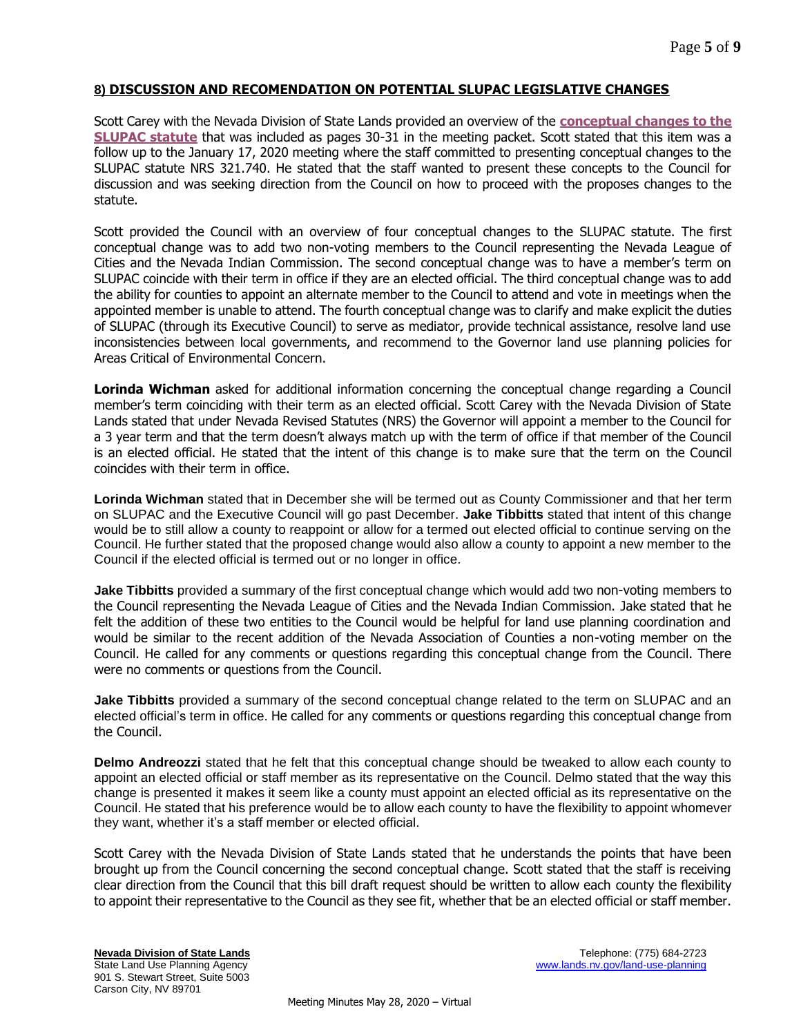# **8) DISCUSSION AND RECOMENDATION ON POTENTIAL SLUPAC LEGISLATIVE CHANGES**

Scott Carey with the Nevada Division of State Lands provided an overview of the **[conceptual changes to the](http://lands.nv.gov/uploads/documents/Meeting_PacketSm.pdf)  [SLUPAC statute](http://lands.nv.gov/uploads/documents/Meeting_PacketSm.pdf)** that was included as pages 30-31 in the meeting packet. Scott stated that this item was a follow up to the January 17, 2020 meeting where the staff committed to presenting conceptual changes to the SLUPAC statute NRS 321.740. He stated that the staff wanted to present these concepts to the Council for discussion and was seeking direction from the Council on how to proceed with the proposes changes to the statute.

Scott provided the Council with an overview of four conceptual changes to the SLUPAC statute. The first conceptual change was to add two non-voting members to the Council representing the Nevada League of Cities and the Nevada Indian Commission. The second conceptual change was to have a member's term on SLUPAC coincide with their term in office if they are an elected official. The third conceptual change was to add the ability for counties to appoint an alternate member to the Council to attend and vote in meetings when the appointed member is unable to attend. The fourth conceptual change was to clarify and make explicit the duties of SLUPAC (through its Executive Council) to serve as mediator, provide technical assistance, resolve land use inconsistencies between local governments, and recommend to the Governor land use planning policies for Areas Critical of Environmental Concern.

**Lorinda Wichman** asked for additional information concerning the conceptual change regarding a Council member's term coinciding with their term as an elected official. Scott Carey with the Nevada Division of State Lands stated that under Nevada Revised Statutes (NRS) the Governor will appoint a member to the Council for a 3 year term and that the term doesn't always match up with the term of office if that member of the Council is an elected official. He stated that the intent of this change is to make sure that the term on the Council coincides with their term in office.

**Lorinda Wichman** stated that in December she will be termed out as County Commissioner and that her term on SLUPAC and the Executive Council will go past December. **Jake Tibbitts** stated that intent of this change would be to still allow a county to reappoint or allow for a termed out elected official to continue serving on the Council. He further stated that the proposed change would also allow a county to appoint a new member to the Council if the elected official is termed out or no longer in office.

**Jake Tibbitts** provided a summary of the first conceptual change which would add two non-voting members to the Council representing the Nevada League of Cities and the Nevada Indian Commission. Jake stated that he felt the addition of these two entities to the Council would be helpful for land use planning coordination and would be similar to the recent addition of the Nevada Association of Counties a non-voting member on the Council. He called for any comments or questions regarding this conceptual change from the Council. There were no comments or questions from the Council.

**Jake Tibbitts** provided a summary of the second conceptual change related to the term on SLUPAC and an elected official's term in office. He called for any comments or questions regarding this conceptual change from the Council.

**Delmo Andreozzi** stated that he felt that this conceptual change should be tweaked to allow each county to appoint an elected official or staff member as its representative on the Council. Delmo stated that the way this change is presented it makes it seem like a county must appoint an elected official as its representative on the Council. He stated that his preference would be to allow each county to have the flexibility to appoint whomever they want, whether it's a staff member or elected official.

Scott Carey with the Nevada Division of State Lands stated that he understands the points that have been brought up from the Council concerning the second conceptual change. Scott stated that the staff is receiving clear direction from the Council that this bill draft request should be written to allow each county the flexibility to appoint their representative to the Council as they see fit, whether that be an elected official or staff member.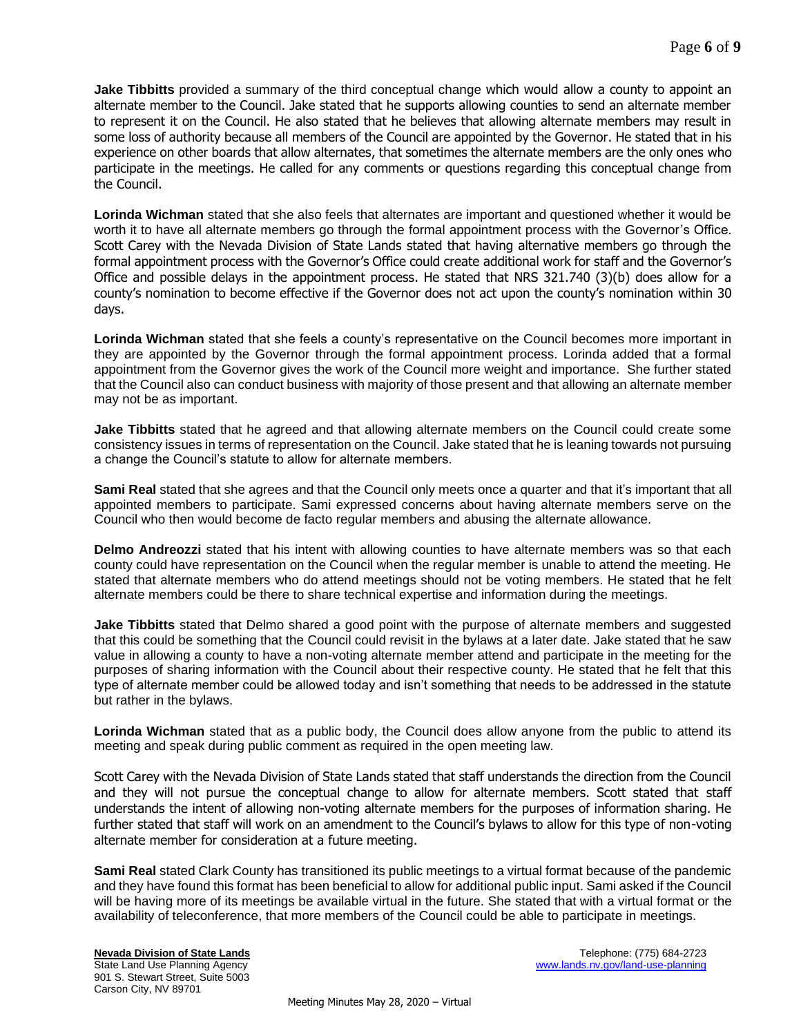**Jake Tibbitts** provided a summary of the third conceptual change which would allow a county to appoint an alternate member to the Council. Jake stated that he supports allowing counties to send an alternate member to represent it on the Council. He also stated that he believes that allowing alternate members may result in some loss of authority because all members of the Council are appointed by the Governor. He stated that in his experience on other boards that allow alternates, that sometimes the alternate members are the only ones who participate in the meetings. He called for any comments or questions regarding this conceptual change from the Council.

**Lorinda Wichman** stated that she also feels that alternates are important and questioned whether it would be worth it to have all alternate members go through the formal appointment process with the Governor's Office. Scott Carey with the Nevada Division of State Lands stated that having alternative members go through the formal appointment process with the Governor's Office could create additional work for staff and the Governor's Office and possible delays in the appointment process. He stated that NRS 321.740 (3)(b) does allow for a county's nomination to become effective if the Governor does not act upon the county's nomination within 30 days.

**Lorinda Wichman** stated that she feels a county's representative on the Council becomes more important in they are appointed by the Governor through the formal appointment process. Lorinda added that a formal appointment from the Governor gives the work of the Council more weight and importance. She further stated that the Council also can conduct business with majority of those present and that allowing an alternate member may not be as important.

**Jake Tibbitts** stated that he agreed and that allowing alternate members on the Council could create some consistency issues in terms of representation on the Council. Jake stated that he is leaning towards not pursuing a change the Council's statute to allow for alternate members.

**Sami Real** stated that she agrees and that the Council only meets once a quarter and that it's important that all appointed members to participate. Sami expressed concerns about having alternate members serve on the Council who then would become de facto regular members and abusing the alternate allowance.

**Delmo Andreozzi** stated that his intent with allowing counties to have alternate members was so that each county could have representation on the Council when the regular member is unable to attend the meeting. He stated that alternate members who do attend meetings should not be voting members. He stated that he felt alternate members could be there to share technical expertise and information during the meetings.

**Jake Tibbitts** stated that Delmo shared a good point with the purpose of alternate members and suggested that this could be something that the Council could revisit in the bylaws at a later date. Jake stated that he saw value in allowing a county to have a non-voting alternate member attend and participate in the meeting for the purposes of sharing information with the Council about their respective county. He stated that he felt that this type of alternate member could be allowed today and isn't something that needs to be addressed in the statute but rather in the bylaws.

**Lorinda Wichman** stated that as a public body, the Council does allow anyone from the public to attend its meeting and speak during public comment as required in the open meeting law.

Scott Carey with the Nevada Division of State Lands stated that staff understands the direction from the Council and they will not pursue the conceptual change to allow for alternate members. Scott stated that staff understands the intent of allowing non-voting alternate members for the purposes of information sharing. He further stated that staff will work on an amendment to the Council's bylaws to allow for this type of non-voting alternate member for consideration at a future meeting.

**Sami Real** stated Clark County has transitioned its public meetings to a virtual format because of the pandemic and they have found this format has been beneficial to allow for additional public input. Sami asked if the Council will be having more of its meetings be available virtual in the future. She stated that with a virtual format or the availability of teleconference, that more members of the Council could be able to participate in meetings.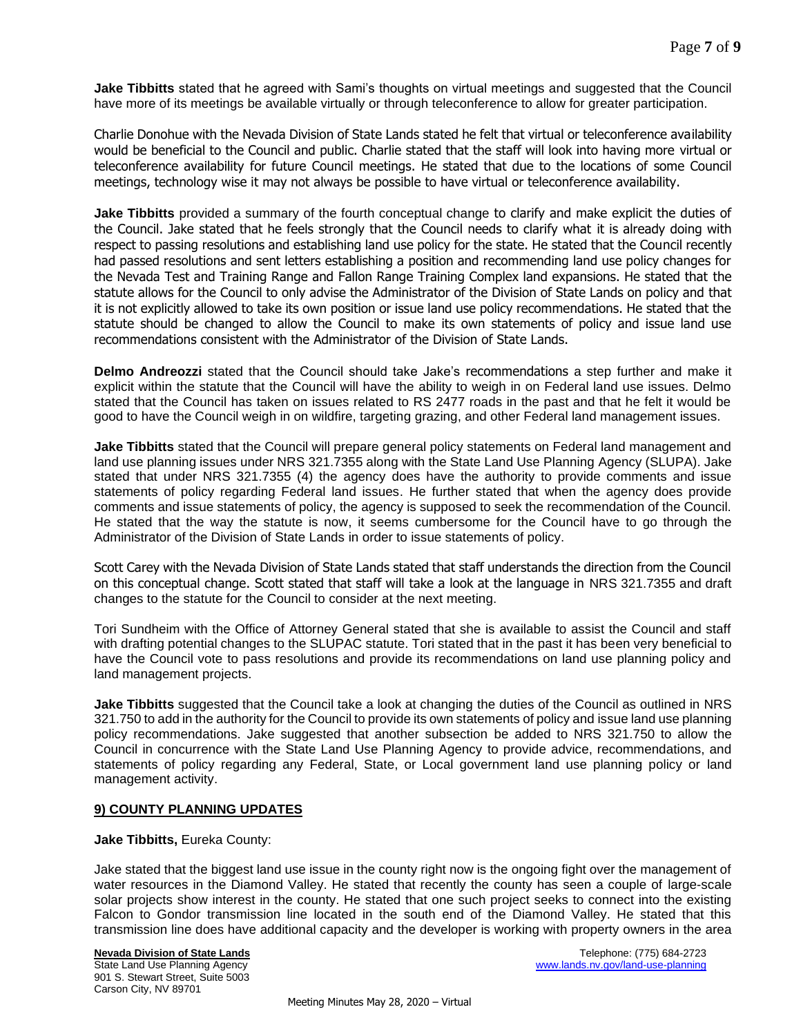**Jake Tibbitts** stated that he agreed with Sami's thoughts on virtual meetings and suggested that the Council have more of its meetings be available virtually or through teleconference to allow for greater participation.

Charlie Donohue with the Nevada Division of State Lands stated he felt that virtual or teleconference availability would be beneficial to the Council and public. Charlie stated that the staff will look into having more virtual or teleconference availability for future Council meetings. He stated that due to the locations of some Council meetings, technology wise it may not always be possible to have virtual or teleconference availability.

**Jake Tibbitts** provided a summary of the fourth conceptual change to clarify and make explicit the duties of the Council. Jake stated that he feels strongly that the Council needs to clarify what it is already doing with respect to passing resolutions and establishing land use policy for the state. He stated that the Council recently had passed resolutions and sent letters establishing a position and recommending land use policy changes for the Nevada Test and Training Range and Fallon Range Training Complex land expansions. He stated that the statute allows for the Council to only advise the Administrator of the Division of State Lands on policy and that it is not explicitly allowed to take its own position or issue land use policy recommendations. He stated that the statute should be changed to allow the Council to make its own statements of policy and issue land use recommendations consistent with the Administrator of the Division of State Lands.

**Delmo Andreozzi** stated that the Council should take Jake's recommendations a step further and make it explicit within the statute that the Council will have the ability to weigh in on Federal land use issues. Delmo stated that the Council has taken on issues related to RS 2477 roads in the past and that he felt it would be good to have the Council weigh in on wildfire, targeting grazing, and other Federal land management issues.

**Jake Tibbitts** stated that the Council will prepare general policy statements on Federal land management and land use planning issues under NRS 321.7355 along with the State Land Use Planning Agency (SLUPA). Jake stated that under NRS 321.7355 (4) the agency does have the authority to provide comments and issue statements of policy regarding Federal land issues. He further stated that when the agency does provide comments and issue statements of policy, the agency is supposed to seek the recommendation of the Council. He stated that the way the statute is now, it seems cumbersome for the Council have to go through the Administrator of the Division of State Lands in order to issue statements of policy.

Scott Carey with the Nevada Division of State Lands stated that staff understands the direction from the Council on this conceptual change. Scott stated that staff will take a look at the language in NRS 321.7355 and draft changes to the statute for the Council to consider at the next meeting.

Tori Sundheim with the Office of Attorney General stated that she is available to assist the Council and staff with drafting potential changes to the SLUPAC statute. Tori stated that in the past it has been very beneficial to have the Council vote to pass resolutions and provide its recommendations on land use planning policy and land management projects.

**Jake Tibbitts** suggested that the Council take a look at changing the duties of the Council as outlined in NRS 321.750 to add in the authority for the Council to provide its own statements of policy and issue land use planning policy recommendations. Jake suggested that another subsection be added to NRS 321.750 to allow the Council in concurrence with the State Land Use Planning Agency to provide advice, recommendations, and statements of policy regarding any Federal, State, or Local government land use planning policy or land management activity.

# **9) COUNTY PLANNING UPDATES**

**Jake Tibbitts,** Eureka County:

Jake stated that the biggest land use issue in the county right now is the ongoing fight over the management of water resources in the Diamond Valley. He stated that recently the county has seen a couple of large-scale solar projects show interest in the county. He stated that one such project seeks to connect into the existing Falcon to Gondor transmission line located in the south end of the Diamond Valley. He stated that this transmission line does have additional capacity and the developer is working with property owners in the area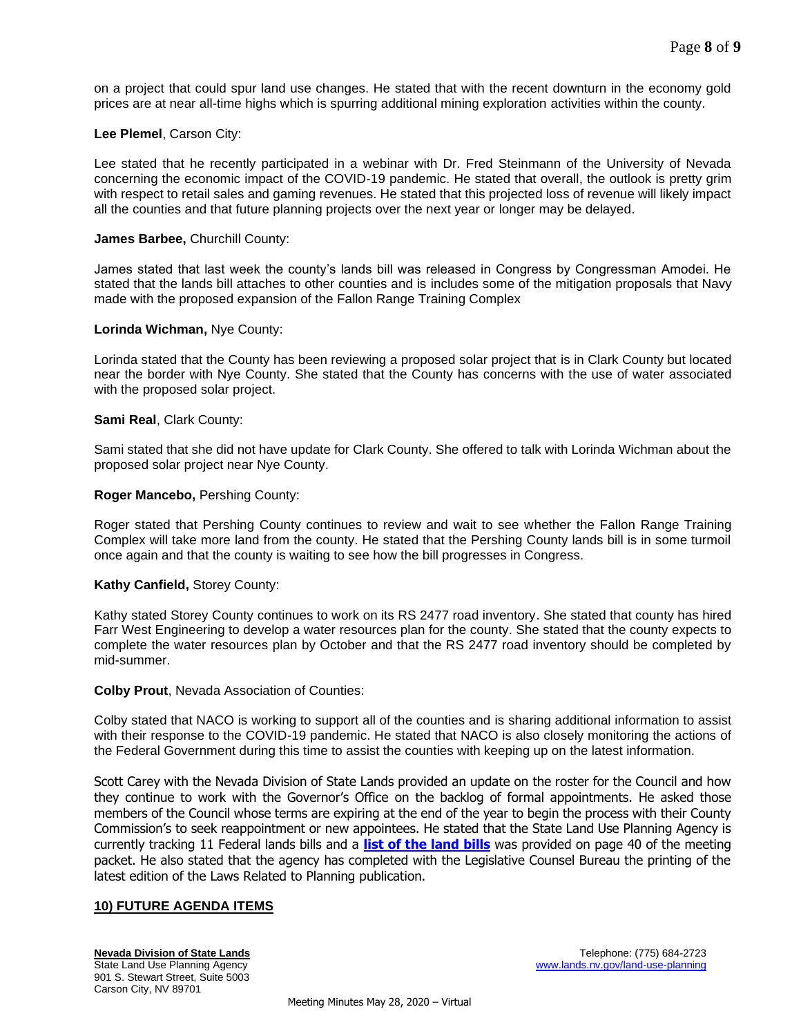on a project that could spur land use changes. He stated that with the recent downturn in the economy gold prices are at near all-time highs which is spurring additional mining exploration activities within the county.

## **Lee Plemel**, Carson City:

Lee stated that he recently participated in a webinar with Dr. Fred Steinmann of the University of Nevada concerning the economic impact of the COVID-19 pandemic. He stated that overall, the outlook is pretty grim with respect to retail sales and gaming revenues. He stated that this projected loss of revenue will likely impact all the counties and that future planning projects over the next year or longer may be delayed.

#### **James Barbee,** Churchill County:

James stated that last week the county's lands bill was released in Congress by Congressman Amodei. He stated that the lands bill attaches to other counties and is includes some of the mitigation proposals that Navy made with the proposed expansion of the Fallon Range Training Complex

#### **Lorinda Wichman,** Nye County:

Lorinda stated that the County has been reviewing a proposed solar project that is in Clark County but located near the border with Nye County. She stated that the County has concerns with the use of water associated with the proposed solar project.

#### **Sami Real**, Clark County:

Sami stated that she did not have update for Clark County. She offered to talk with Lorinda Wichman about the proposed solar project near Nye County.

#### **Roger Mancebo,** Pershing County:

Roger stated that Pershing County continues to review and wait to see whether the Fallon Range Training Complex will take more land from the county. He stated that the Pershing County lands bill is in some turmoil once again and that the county is waiting to see how the bill progresses in Congress.

## **Kathy Canfield,** Storey County:

Kathy stated Storey County continues to work on its RS 2477 road inventory. She stated that county has hired Farr West Engineering to develop a water resources plan for the county. She stated that the county expects to complete the water resources plan by October and that the RS 2477 road inventory should be completed by mid-summer.

#### **Colby Prout**, Nevada Association of Counties:

Colby stated that NACO is working to support all of the counties and is sharing additional information to assist with their response to the COVID-19 pandemic. He stated that NACO is also closely monitoring the actions of the Federal Government during this time to assist the counties with keeping up on the latest information.

Scott Carey with the Nevada Division of State Lands provided an update on the roster for the Council and how they continue to work with the Governor's Office on the backlog of formal appointments. He asked those members of the Council whose terms are expiring at the end of the year to begin the process with their County Commission's to seek reappointment or new appointees. He stated that the State Land Use Planning Agency is currently tracking 11 Federal lands bills and a **[list of the land](http://lands.nv.gov/uploads/documents/Meeting_PacketSm.pdf) bills** was provided on page 40 of the meeting packet. He also stated that the agency has completed with the Legislative Counsel Bureau the printing of the latest edition of the Laws Related to Planning publication.

## **10) FUTURE AGENDA ITEMS**